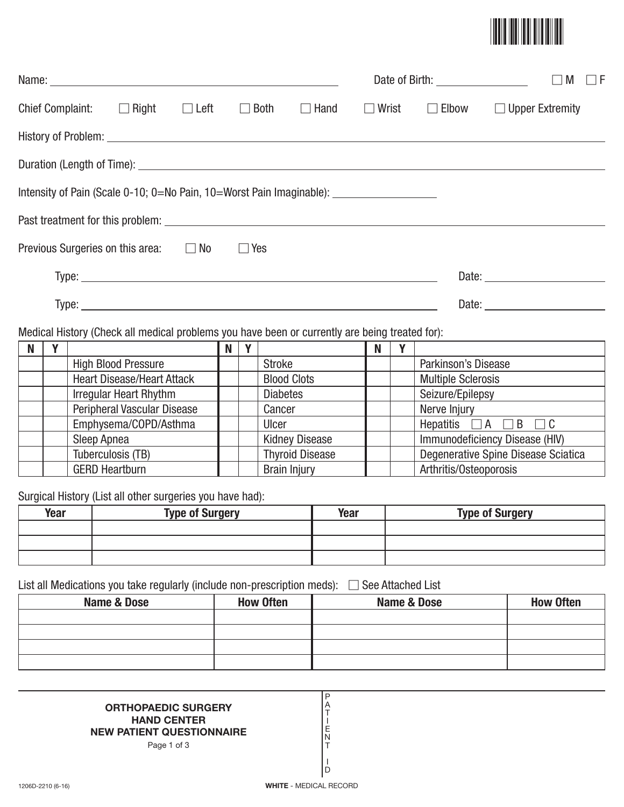

|                                                                                                |                                                                                                     |  |             |             |              |              | M<br>F<br>L<br>$\perp$                                                                                                                                                                                                         |
|------------------------------------------------------------------------------------------------|-----------------------------------------------------------------------------------------------------|--|-------------|-------------|--------------|--------------|--------------------------------------------------------------------------------------------------------------------------------------------------------------------------------------------------------------------------------|
| Chief Complaint: $\Box$ Right $\Box$ Left                                                      |                                                                                                     |  | $\Box$ Both | $\Box$ Hand | $\Box$ Wrist | $\Box$ Elbow | $\Box$ Upper Extremity                                                                                                                                                                                                         |
|                                                                                                |                                                                                                     |  |             |             |              |              |                                                                                                                                                                                                                                |
|                                                                                                |                                                                                                     |  |             |             |              |              |                                                                                                                                                                                                                                |
|                                                                                                | Intensity of Pain (Scale 0-10; 0=No Pain, 10=Worst Pain Imaginable): ______________________________ |  |             |             |              |              |                                                                                                                                                                                                                                |
|                                                                                                |                                                                                                     |  |             |             |              |              |                                                                                                                                                                                                                                |
| Previous Surgeries on this area: $\Box$ No                                                     |                                                                                                     |  | $\Box$ Yes  |             |              |              |                                                                                                                                                                                                                                |
|                                                                                                |                                                                                                     |  |             |             |              |              |                                                                                                                                                                                                                                |
|                                                                                                |                                                                                                     |  |             |             |              |              | Date: the contract of the contract of the contract of the contract of the contract of the contract of the contract of the contract of the contract of the contract of the contract of the contract of the contract of the cont |
| Medical History (Check all medical problems you have been or currently are being treated for): |                                                                                                     |  |             |             |              |              |                                                                                                                                                                                                                                |

| N |                                    | N | $\mathbf{v}$ |                        | N |                                     |
|---|------------------------------------|---|--------------|------------------------|---|-------------------------------------|
|   | <b>High Blood Pressure</b>         |   |              | <b>Stroke</b>          |   | Parkinson's Disease                 |
|   | <b>Heart Disease/Heart Attack</b>  |   |              | <b>Blood Clots</b>     |   | <b>Multiple Sclerosis</b>           |
|   | <b>Irregular Heart Rhythm</b>      |   |              | <b>Diabetes</b>        |   | Seizure/Epilepsy                    |
|   | <b>Peripheral Vascular Disease</b> |   |              | Cancer                 |   | Nerve Injury                        |
|   | Emphysema/COPD/Asthma              |   |              | Ulcer                  |   | Hepatitis $\Box A \Box B \Box C$    |
|   | Sleep Apnea                        |   |              | <b>Kidney Disease</b>  |   | Immunodeficiency Disease (HIV)      |
|   | Tuberculosis (TB)                  |   |              | <b>Thyroid Disease</b> |   | Degenerative Spine Disease Sciatica |
|   | <b>GERD Heartburn</b>              |   |              | <b>Brain Injury</b>    |   | Arthritis/Osteoporosis              |

Surgical History (List all other surgeries you have had):

| Year | <b>Type of Surgery</b> | <b>Year</b> | <b>Type of Surgery</b> |
|------|------------------------|-------------|------------------------|
|      |                        |             |                        |
|      |                        |             |                        |
|      |                        |             |                        |

List all Medications you take regularly (include non-prescription meds): - See Attached List

| <b>Name &amp; Dose</b> | <b>How Often</b> | Name & Dose | <b>How Often</b> |
|------------------------|------------------|-------------|------------------|
|                        |                  |             |                  |
|                        |                  |             |                  |
|                        |                  |             |                  |
|                        |                  |             |                  |

P A T I E N T I D

## **ORTHOPAEDIC SURGERY HAND CENTER NEW PATIENT QUESTIONNAIRE**

Page 1 of 3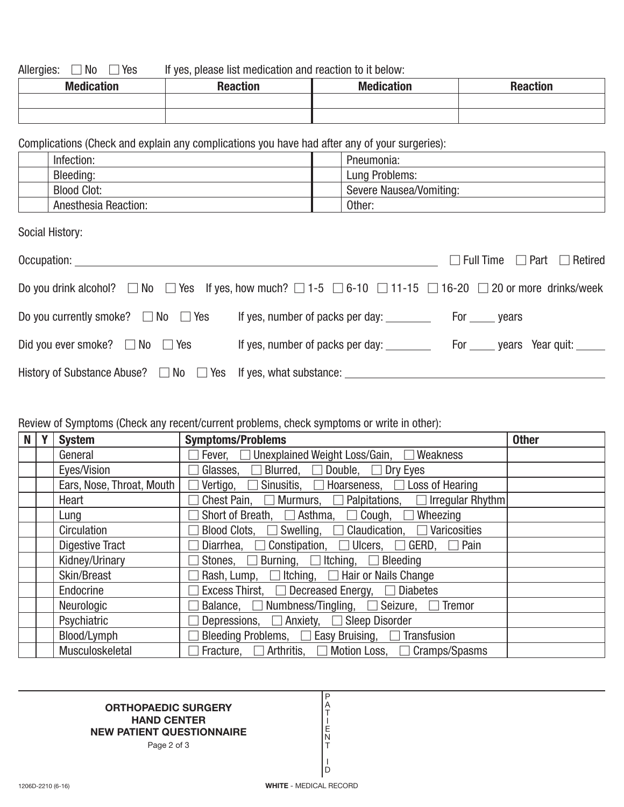Allergies:  $\Box$  No  $\Box$ If yes, please list medication and reaction to it below:

| <b>Medication</b> | Reactior | <b>Medication</b> | <b>Propries</b><br>า <del>c</del> acuon |
|-------------------|----------|-------------------|-----------------------------------------|
|                   |          |                   |                                         |
|                   |          |                   |                                         |

Complications (Check and explain any complications you have had after any of your surgeries):

| Infection: |                             | Pneumonia:              |
|------------|-----------------------------|-------------------------|
| Bleeding:  |                             | Lung Problems:          |
|            | <b>Blood Clot:</b>          | Severe Nausea/Vomiting: |
|            | <b>Anesthesia Reaction:</b> | Other:                  |

Social History:

| Occupation: _____________                                                                                                                   |                                  | $\Box$ Full Time $\Box$ Part $\Box$ Retired |
|---------------------------------------------------------------------------------------------------------------------------------------------|----------------------------------|---------------------------------------------|
| Do you drink alcohol? $\Box$ No $\Box$ Yes If yes, how much? $\Box$ 1-5 $\Box$ 6-10 $\Box$ 11-15 $\Box$ 16-20 $\Box$ 20 or more drinks/week |                                  |                                             |
| Do you currently smoke? $\Box$ No $\Box$ Yes                                                                                                |                                  |                                             |
| Did you ever smoke? $\Box$ No $\Box$ Yes                                                                                                    | If yes, number of packs per day: | For ______ years Year quit: ______          |
|                                                                                                                                             |                                  |                                             |

## Review of Symptoms (Check any recent/current problems, check symptoms or write in other):

| N | Y | <b>System</b>             | <b>Symptoms/Problems</b>                                                       | <b>Other</b> |
|---|---|---------------------------|--------------------------------------------------------------------------------|--------------|
|   |   | General                   | Fever, □ Unexplained Weight Loss/Gain, □ Weakness                              |              |
|   |   | Eyes/Vision               | Glasses, $\Box$ Blurred, $\Box$ Double, $\Box$ Dry Eyes                        |              |
|   |   | Ears, Nose, Throat, Mouth | Vertigo, $\Box$ Sinusitis, $\Box$ Hoarseness, $\Box$ Loss of Hearing<br>$\Box$ |              |
|   |   | Heart                     | Chest Pain, $\Box$ Murmurs, $\Box$ Palpitations, $\Box$ Irregular Rhythm       |              |
|   |   | Lung                      | Short of Breath, $\Box$ Asthma, $\Box$ Cough, $\Box$ Wheezing                  |              |
|   |   | Circulation               | Blood Clots, $\Box$ Swelling, $\Box$ Claudication, $\Box$ Varicosities         |              |
|   |   | <b>Digestive Tract</b>    | Diarrhea, $\Box$ Constipation, $\Box$ Ulcers, $\Box$ GERD, $\Box$ Pain         |              |
|   |   | Kidney/Urinary            | Stones, $\Box$ Burning, $\Box$ Itching, $\Box$ Bleeding                        |              |
|   |   | Skin/Breast               | Rash, Lump, $\Box$ Itching, $\Box$ Hair or Nails Change                        |              |
|   |   | Endocrine                 | Excess Thirst, □ Decreased Energy, □ Diabetes                                  |              |
|   |   | Neurologic                | Balance, $\Box$ Numbness/Tingling, $\Box$ Seizure, $\Box$ Tremor               |              |
|   |   | Psychiatric               | Depressions, $\Box$ Anxiety, $\Box$ Sleep Disorder                             |              |
|   |   | Blood/Lymph               | Bleeding Problems, $\Box$ Easy Bruising, $\Box$ Transfusion                    |              |
|   |   | Musculoskeletal           | Fracture, $\Box$ Arthritis, $\Box$ Motion Loss, $\Box$ Cramps/Spasms           |              |

## **ORTHOPAEDIC SURGERY HAND CENTER NEW PATIENT QUESTIONNAIRE**

Page 2 of 3

P A T I E N T I D